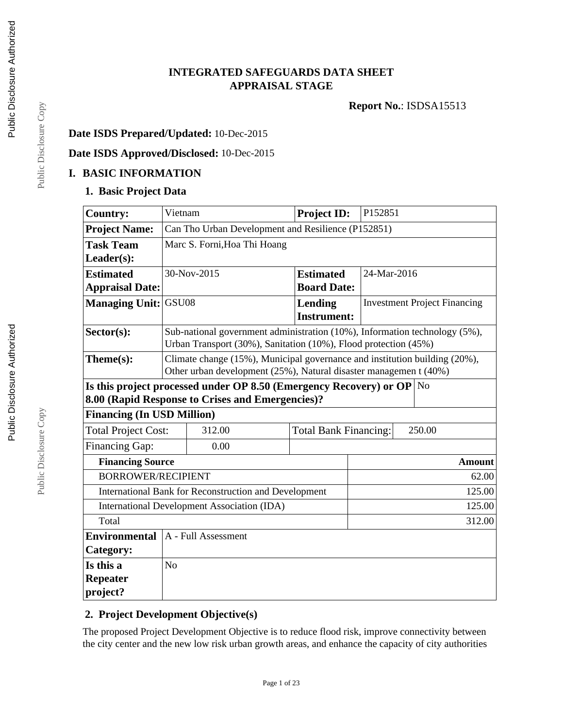### **INTEGRATED SAFEGUARDS DATA SHEET APPRAISAL STAGE**

**Report No.**: ISDSA15513

#### **Date ISDS Prepared/Updated:** 10-Dec-2015

# **Date ISDS Approved/Disclosed:** 10-Dec-2015

#### **I. BASIC INFORMATION**

#### **1. Basic Project Data**

| <b>Country:</b>             | Vietnam                                                                       |                                                                            | <b>Project ID:</b>                     | P152851                             |               |  |
|-----------------------------|-------------------------------------------------------------------------------|----------------------------------------------------------------------------|----------------------------------------|-------------------------------------|---------------|--|
| <b>Project Name:</b>        | Can Tho Urban Development and Resilience (P152851)                            |                                                                            |                                        |                                     |               |  |
| <b>Task Team</b>            |                                                                               | Marc S. Forni, Hoa Thi Hoang                                               |                                        |                                     |               |  |
| Leader(s):                  |                                                                               |                                                                            |                                        |                                     |               |  |
| <b>Estimated</b>            |                                                                               | 30-Nov-2015                                                                | <b>Estimated</b>                       | 24-Mar-2016                         |               |  |
| <b>Appraisal Date:</b>      |                                                                               |                                                                            | <b>Board Date:</b>                     |                                     |               |  |
| <b>Managing Unit: GSU08</b> |                                                                               |                                                                            | Lending<br><b>Instrument:</b>          | <b>Investment Project Financing</b> |               |  |
| Sector(s):                  |                                                                               | Sub-national government administration (10%), Information technology (5%), |                                        |                                     |               |  |
|                             |                                                                               | Urban Transport (30%), Sanitation (10%), Flood protection (45%)            |                                        |                                     |               |  |
| Theme(s):                   |                                                                               | Climate change (15%), Municipal governance and institution building (20%), |                                        |                                     |               |  |
|                             | Other urban development (25%), Natural disaster managemen t (40%)             |                                                                            |                                        |                                     |               |  |
|                             | Is this project processed under OP 8.50 (Emergency Recovery) or OP $\vert$ No |                                                                            |                                        |                                     |               |  |
|                             |                                                                               | 8.00 (Rapid Response to Crises and Emergencies)?                           |                                        |                                     |               |  |
|                             | <b>Financing (In USD Million)</b>                                             |                                                                            |                                        |                                     |               |  |
| <b>Total Project Cost:</b>  |                                                                               | 312.00                                                                     | <b>Total Bank Financing:</b><br>250.00 |                                     |               |  |
| <b>Financing Gap:</b>       |                                                                               | 0.00                                                                       |                                        |                                     |               |  |
| <b>Financing Source</b>     |                                                                               |                                                                            |                                        |                                     | <b>Amount</b> |  |
| <b>BORROWER/RECIPIENT</b>   |                                                                               |                                                                            |                                        |                                     | 62.00         |  |
|                             |                                                                               | International Bank for Reconstruction and Development                      |                                        |                                     | 125.00        |  |
|                             |                                                                               | <b>International Development Association (IDA)</b>                         |                                        |                                     | 125.00        |  |
| Total                       | 312.00                                                                        |                                                                            |                                        |                                     |               |  |
| <b>Environmental</b>        |                                                                               | A - Full Assessment                                                        |                                        |                                     |               |  |
| <b>Category:</b>            |                                                                               |                                                                            |                                        |                                     |               |  |
| Is this a                   | N <sub>o</sub>                                                                |                                                                            |                                        |                                     |               |  |
| <b>Repeater</b>             |                                                                               |                                                                            |                                        |                                     |               |  |
| project?                    |                                                                               |                                                                            |                                        |                                     |               |  |

### **2. Project Development Objective(s)**

The proposed Project Development Objective is to reduce flood risk, improve connectivity between the city center and the new low risk urban growth areas, and enhance the capacity of city authorities

Public Disclosure Copy Public Disclosure Copy

Public Disclosure Copy

Public Disclosure Copy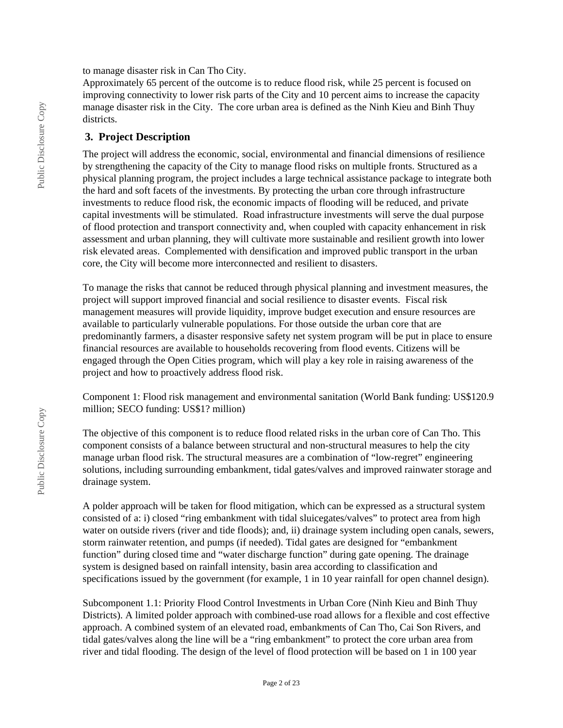to manage disaster risk in Can Tho City.

Approximately 65 percent of the outcome is to reduce flood risk, while 25 percent is focused on improving connectivity to lower risk parts of the City and 10 percent aims to increase the capacity manage disaster risk in the City. The core urban area is defined as the Ninh Kieu and Binh Thuy districts.

#### **3. Project Description**

The project will address the economic, social, environmental and financial dimensions of resilience by strengthening the capacity of the City to manage flood risks on multiple fronts. Structured as a physical planning program, the project includes a large technical assistance package to integrate both the hard and soft facets of the investments. By protecting the urban core through infrastructure investments to reduce flood risk, the economic impacts of flooding will be reduced, and private capital investments will be stimulated. Road infrastructure investments will serve the dual purpose of flood protection and transport connectivity and, when coupled with capacity enhancement in risk assessment and urban planning, they will cultivate more sustainable and resilient growth into lower risk elevated areas. Complemented with densification and improved public transport in the urban core, the City will become more interconnected and resilient to disasters.

To manage the risks that cannot be reduced through physical planning and investment measures, the project will support improved financial and social resilience to disaster events. Fiscal risk management measures will provide liquidity, improve budget execution and ensure resources are available to particularly vulnerable populations. For those outside the urban core that are predominantly farmers, a disaster responsive safety net system program will be put in place to ensure financial resources are available to households recovering from flood events. Citizens will be engaged through the Open Cities program, which will play a key role in raising awareness of the project and how to proactively address flood risk.

Component 1: Flood risk management and environmental sanitation (World Bank funding: US\$120.9 million; SECO funding: US\$1? million)

The objective of this component is to reduce flood related risks in the urban core of Can Tho. This component consists of a balance between structural and non-structural measures to help the city manage urban flood risk. The structural measures are a combination of "low-regret" engineering solutions, including surrounding embankment, tidal gates/valves and improved rainwater storage and drainage system.

A polder approach will be taken for flood mitigation, which can be expressed as a structural system consisted of a: i) closed "ring embankment with tidal sluicegates/valves" to protect area from high water on outside rivers (river and tide floods); and, ii) drainage system including open canals, sewers, storm rainwater retention, and pumps (if needed). Tidal gates are designed for "embankment function" during closed time and "water discharge function" during gate opening. The drainage system is designed based on rainfall intensity, basin area according to classification and specifications issued by the government (for example, 1 in 10 year rainfall for open channel design).

Subcomponent 1.1: Priority Flood Control Investments in Urban Core (Ninh Kieu and Binh Thuy Districts). A limited polder approach with combined-use road allows for a flexible and cost effective approach. A combined system of an elevated road, embankments of Can Tho, Cai Son Rivers, and tidal gates/valves along the line will be a "ring embankment" to protect the core urban area from river and tidal flooding. The design of the level of flood protection will be based on 1 in 100 year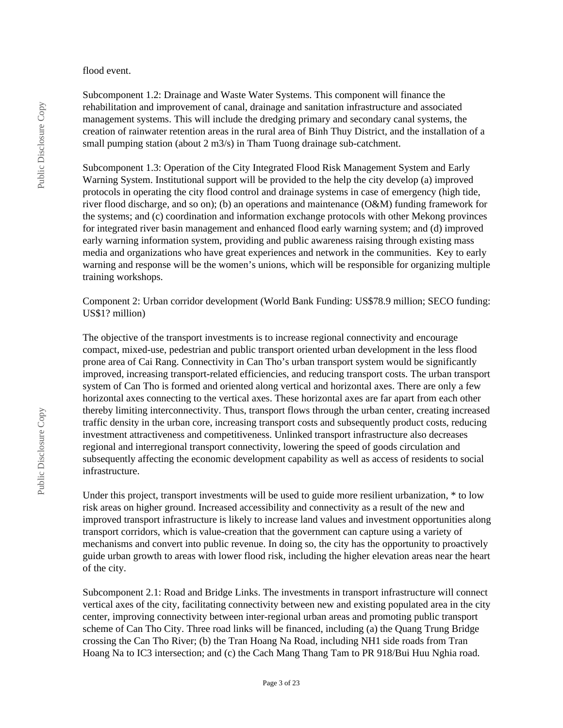#### flood event.

Subcomponent 1.2: Drainage and Waste Water Systems. This component will finance the rehabilitation and improvement of canal, drainage and sanitation infrastructure and associated management systems. This will include the dredging primary and secondary canal systems, the creation of rainwater retention areas in the rural area of Binh Thuy District, and the installation of a small pumping station (about 2 m3/s) in Tham Tuong drainage sub-catchment.

Subcomponent 1.3: Operation of the City Integrated Flood Risk Management System and Early Warning System. Institutional support will be provided to the help the city develop (a) improved protocols in operating the city flood control and drainage systems in case of emergency (high tide, river flood discharge, and so on); (b) an operations and maintenance (O&M) funding framework for the systems; and (c) coordination and information exchange protocols with other Mekong provinces for integrated river basin management and enhanced flood early warning system; and (d) improved early warning information system, providing and public awareness raising through existing mass media and organizations who have great experiences and network in the communities. Key to early warning and response will be the women's unions, which will be responsible for organizing multiple training workshops.

Component 2: Urban corridor development (World Bank Funding: US\$78.9 million; SECO funding: US\$1? million)

The objective of the transport investments is to increase regional connectivity and encourage compact, mixed-use, pedestrian and public transport oriented urban development in the less flood prone area of Cai Rang. Connectivity in Can Tho's urban transport system would be significantly improved, increasing transport-related efficiencies, and reducing transport costs. The urban transport system of Can Tho is formed and oriented along vertical and horizontal axes. There are only a few horizontal axes connecting to the vertical axes. These horizontal axes are far apart from each other thereby limiting interconnectivity. Thus, transport flows through the urban center, creating increased traffic density in the urban core, increasing transport costs and subsequently product costs, reducing investment attractiveness and competitiveness. Unlinked transport infrastructure also decreases regional and interregional transport connectivity, lowering the speed of goods circulation and subsequently affecting the economic development capability as well as access of residents to social infrastructure.

Under this project, transport investments will be used to guide more resilient urbanization, \* to low risk areas on higher ground. Increased accessibility and connectivity as a result of the new and improved transport infrastructure is likely to increase land values and investment opportunities along transport corridors, which is value-creation that the government can capture using a variety of mechanisms and convert into public revenue. In doing so, the city has the opportunity to proactively guide urban growth to areas with lower flood risk, including the higher elevation areas near the heart of the city.

Subcomponent 2.1: Road and Bridge Links. The investments in transport infrastructure will connect vertical axes of the city, facilitating connectivity between new and existing populated area in the city center, improving connectivity between inter-regional urban areas and promoting public transport scheme of Can Tho City. Three road links will be financed, including (a) the Quang Trung Bridge crossing the Can Tho River; (b) the Tran Hoang Na Road, including NH1 side roads from Tran Hoang Na to IC3 intersection; and (c) the Cach Mang Thang Tam to PR 918/Bui Huu Nghia road.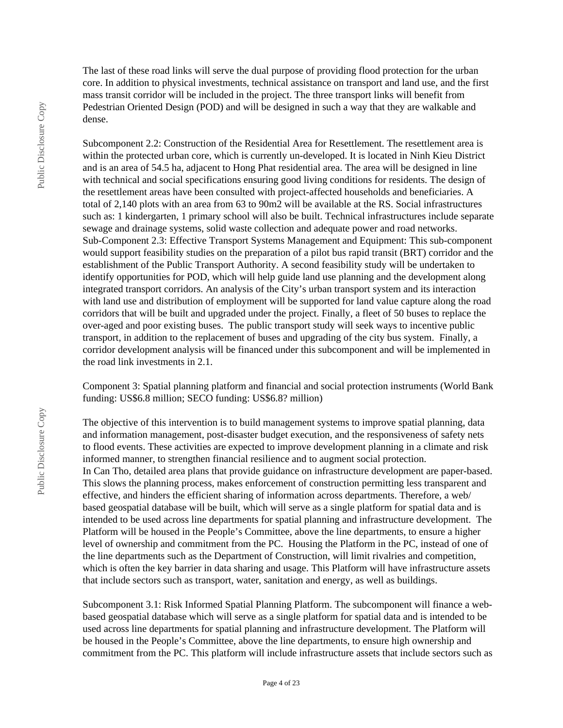The last of these road links will serve the dual purpose of providing flood protection for the urban core. In addition to physical investments, technical assistance on transport and land use, and the first mass transit corridor will be included in the project. The three transport links will benefit from Pedestrian Oriented Design (POD) and will be designed in such a way that they are walkable and dense.

Subcomponent 2.2: Construction of the Residential Area for Resettlement. The resettlement area is within the protected urban core, which is currently un-developed. It is located in Ninh Kieu District and is an area of 54.5 ha, adjacent to Hong Phat residential area. The area will be designed in line with technical and social specifications ensuring good living conditions for residents. The design of the resettlement areas have been consulted with project-affected households and beneficiaries. A total of 2,140 plots with an area from 63 to 90m2 will be available at the RS. Social infrastructures such as: 1 kindergarten, 1 primary school will also be built. Technical infrastructures include separate sewage and drainage systems, solid waste collection and adequate power and road networks. Sub-Component 2.3: Effective Transport Systems Management and Equipment: This sub-component would support feasibility studies on the preparation of a pilot bus rapid transit (BRT) corridor and the establishment of the Public Transport Authority. A second feasibility study will be undertaken to identify opportunities for POD, which will help guide land use planning and the development along integrated transport corridors. An analysis of the City's urban transport system and its interaction with land use and distribution of employment will be supported for land value capture along the road corridors that will be built and upgraded under the project. Finally, a fleet of 50 buses to replace the over-aged and poor existing buses. The public transport study will seek ways to incentive public transport, in addition to the replacement of buses and upgrading of the city bus system. Finally, a corridor development analysis will be financed under this subcomponent and will be implemented in the road link investments in 2.1.

Component 3: Spatial planning platform and financial and social protection instruments (World Bank funding: US\$6.8 million; SECO funding: US\$6.8? million)

The objective of this intervention is to build management systems to improve spatial planning, data and information management, post-disaster budget execution, and the responsiveness of safety nets to flood events. These activities are expected to improve development planning in a climate and risk informed manner, to strengthen financial resilience and to augment social protection. In Can Tho, detailed area plans that provide guidance on infrastructure development are paper-based. This slows the planning process, makes enforcement of construction permitting less transparent and effective, and hinders the efficient sharing of information across departments. Therefore, a web/ based geospatial database will be built, which will serve as a single platform for spatial data and is intended to be used across line departments for spatial planning and infrastructure development. The Platform will be housed in the People's Committee, above the line departments, to ensure a higher level of ownership and commitment from the PC. Housing the Platform in the PC, instead of one of the line departments such as the Department of Construction, will limit rivalries and competition, which is often the key barrier in data sharing and usage. This Platform will have infrastructure assets that include sectors such as transport, water, sanitation and energy, as well as buildings.

Subcomponent 3.1: Risk Informed Spatial Planning Platform. The subcomponent will finance a webbased geospatial database which will serve as a single platform for spatial data and is intended to be used across line departments for spatial planning and infrastructure development. The Platform will be housed in the People's Committee, above the line departments, to ensure high ownership and commitment from the PC. This platform will include infrastructure assets that include sectors such as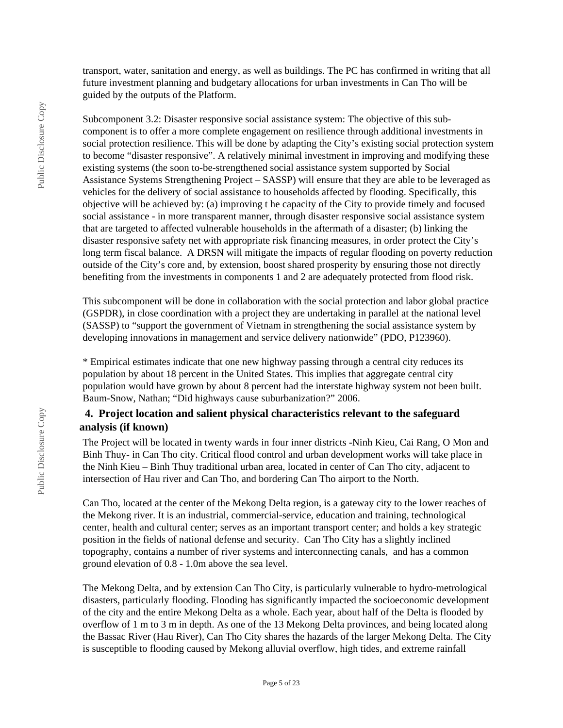transport, water, sanitation and energy, as well as buildings. The PC has confirmed in writing that all future investment planning and budgetary allocations for urban investments in Can Tho will be guided by the outputs of the Platform.

Subcomponent 3.2: Disaster responsive social assistance system: The objective of this subcomponent is to offer a more complete engagement on resilience through additional investments in social protection resilience. This will be done by adapting the City's existing social protection system to become "disaster responsive". A relatively minimal investment in improving and modifying these existing systems (the soon to-be-strengthened social assistance system supported by Social Assistance Systems Strengthening Project – SASSP) will ensure that they are able to be leveraged as vehicles for the delivery of social assistance to households affected by flooding. Specifically, this objective will be achieved by: (a) improving t he capacity of the City to provide timely and focused social assistance - in more transparent manner, through disaster responsive social assistance system that are targeted to affected vulnerable households in the aftermath of a disaster; (b) linking the disaster responsive safety net with appropriate risk financing measures, in order protect the City's long term fiscal balance. A DRSN will mitigate the impacts of regular flooding on poverty reduction outside of the City's core and, by extension, boost shared prosperity by ensuring those not directly benefiting from the investments in components 1 and 2 are adequately protected from flood risk.

This subcomponent will be done in collaboration with the social protection and labor global practice (GSPDR), in close coordination with a project they are undertaking in parallel at the national level (SASSP) to "support the government of Vietnam in strengthening the social assistance system by developing innovations in management and service delivery nationwide" (PDO, P123960).

\* Empirical estimates indicate that one new highway passing through a central city reduces its population by about 18 percent in the United States. This implies that aggregate central city population would have grown by about 8 percent had the interstate highway system not been built. Baum-Snow, Nathan; "Did highways cause suburbanization?" 2006.

#### **4. Project location and salient physical characteristics relevant to the safeguard analysis (if known)**

The Project will be located in twenty wards in four inner districts -Ninh Kieu, Cai Rang, O Mon and Binh Thuy- in Can Tho city. Critical flood control and urban development works will take place in the Ninh Kieu – Binh Thuy traditional urban area, located in center of Can Tho city, adjacent to intersection of Hau river and Can Tho, and bordering Can Tho airport to the North.

Can Tho, located at the center of the Mekong Delta region, is a gateway city to the lower reaches of the Mekong river. It is an industrial, commercial-service, education and training, technological center, health and cultural center; serves as an important transport center; and holds a key strategic position in the fields of national defense and security. Can Tho City has a slightly inclined topography, contains a number of river systems and interconnecting canals, and has a common ground elevation of 0.8 - 1.0m above the sea level.

The Mekong Delta, and by extension Can Tho City, is particularly vulnerable to hydro-metrological disasters, particularly flooding. Flooding has significantly impacted the socioeconomic development of the city and the entire Mekong Delta as a whole. Each year, about half of the Delta is flooded by overflow of 1 m to 3 m in depth. As one of the 13 Mekong Delta provinces, and being located along the Bassac River (Hau River), Can Tho City shares the hazards of the larger Mekong Delta. The City is susceptible to flooding caused by Mekong alluvial overflow, high tides, and extreme rainfall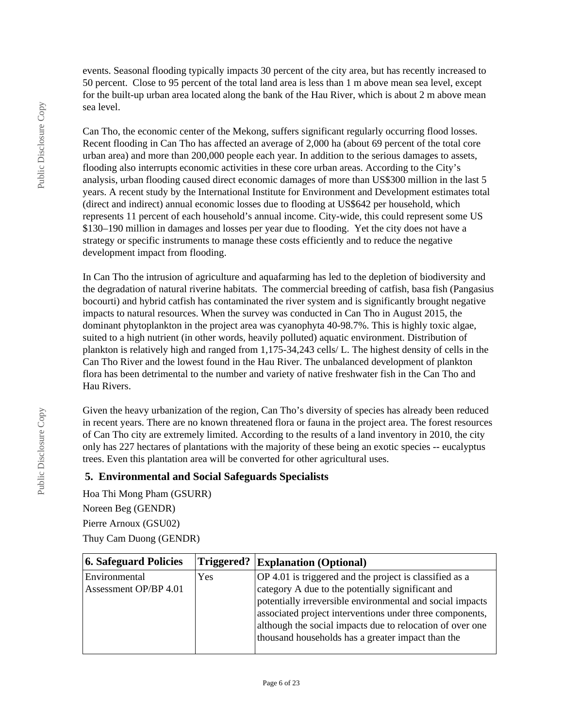events. Seasonal flooding typically impacts 30 percent of the city area, but has recently increased to 50 percent. Close to 95 percent of the total land area is less than 1 m above mean sea level, except for the built-up urban area located along the bank of the Hau River, which is about 2 m above mean sea level.

Can Tho, the economic center of the Mekong, suffers significant regularly occurring flood losses. Recent flooding in Can Tho has affected an average of 2,000 ha (about 69 percent of the total core urban area) and more than 200,000 people each year. In addition to the serious damages to assets, flooding also interrupts economic activities in these core urban areas. According to the City's analysis, urban flooding caused direct economic damages of more than US\$300 million in the last 5 years. A recent study by the International Institute for Environment and Development estimates total (direct and indirect) annual economic losses due to flooding at US\$642 per household, which represents 11 percent of each household's annual income. City-wide, this could represent some US \$130–190 million in damages and losses per year due to flooding. Yet the city does not have a strategy or specific instruments to manage these costs efficiently and to reduce the negative development impact from flooding.

In Can Tho the intrusion of agriculture and aquafarming has led to the depletion of biodiversity and the degradation of natural riverine habitats. The commercial breeding of catfish, basa fish (Pangasius bocourti) and hybrid catfish has contaminated the river system and is significantly brought negative impacts to natural resources. When the survey was conducted in Can Tho in August 2015, the dominant phytoplankton in the project area was cyanophyta 40-98.7%. This is highly toxic algae, suited to a high nutrient (in other words, heavily polluted) aquatic environment. Distribution of plankton is relatively high and ranged from 1,175-34,243 cells/ L. The highest density of cells in the Can Tho River and the lowest found in the Hau River. The unbalanced development of plankton flora has been detrimental to the number and variety of native freshwater fish in the Can Tho and Hau Rivers.

Given the heavy urbanization of the region, Can Tho's diversity of species has already been reduced in recent years. There are no known threatened flora or fauna in the project area. The forest resources of Can Tho city are extremely limited. According to the results of a land inventory in 2010, the city only has 227 hectares of plantations with the majority of these being an exotic species -- eucalyptus trees. Even this plantation area will be converted for other agricultural uses.

#### **5. Environmental and Social Safeguards Specialists**

Hoa Thi Mong Pham (GSURR) Noreen Beg (GENDR) Pierre Arnoux (GSU02) Thuy Cam Duong (GENDR)

| 6. Safeguard Policies                  | Triggered? | <b>Explanation (Optional)</b>                                                                                                                                                                                                                                                                                                                           |
|----------------------------------------|------------|---------------------------------------------------------------------------------------------------------------------------------------------------------------------------------------------------------------------------------------------------------------------------------------------------------------------------------------------------------|
| Environmental<br>Assessment OP/BP 4.01 | Yes        | OP 4.01 is triggered and the project is classified as a<br>category A due to the potentially significant and<br>potentially irreversible environmental and social impacts<br>associated project interventions under three components,<br>although the social impacts due to relocation of over one<br>thousand households has a greater impact than the |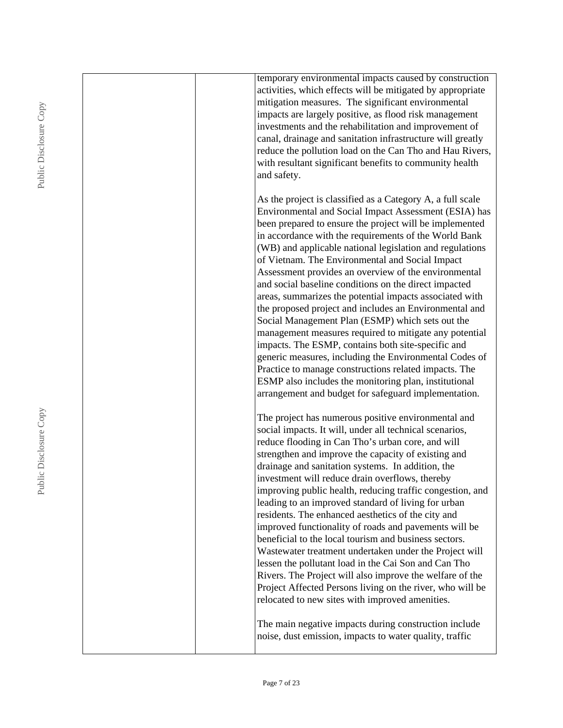|  | temporary environmental impacts caused by construction     |
|--|------------------------------------------------------------|
|  | activities, which effects will be mitigated by appropriate |
|  | mitigation measures. The significant environmental         |
|  | impacts are largely positive, as flood risk management     |
|  | investments and the rehabilitation and improvement of      |
|  | canal, drainage and sanitation infrastructure will greatly |
|  | reduce the pollution load on the Can Tho and Hau Rivers,   |
|  | with resultant significant benefits to community health    |
|  | and safety.                                                |
|  |                                                            |
|  | As the project is classified as a Category A, a full scale |
|  | Environmental and Social Impact Assessment (ESIA) has      |
|  | been prepared to ensure the project will be implemented    |
|  | in accordance with the requirements of the World Bank      |
|  | (WB) and applicable national legislation and regulations   |
|  | of Vietnam. The Environmental and Social Impact            |
|  | Assessment provides an overview of the environmental       |
|  | and social baseline conditions on the direct impacted      |
|  | areas, summarizes the potential impacts associated with    |
|  | the proposed project and includes an Environmental and     |
|  | Social Management Plan (ESMP) which sets out the           |
|  | management measures required to mitigate any potential     |
|  | impacts. The ESMP, contains both site-specific and         |
|  | generic measures, including the Environmental Codes of     |
|  | Practice to manage constructions related impacts. The      |
|  | ESMP also includes the monitoring plan, institutional      |
|  | arrangement and budget for safeguard implementation.       |
|  |                                                            |
|  | The project has numerous positive environmental and        |
|  | social impacts. It will, under all technical scenarios,    |
|  | reduce flooding in Can Tho's urban core, and will          |
|  | strengthen and improve the capacity of existing and        |
|  | drainage and sanitation systems. In addition, the          |
|  | investment will reduce drain overflows, thereby            |
|  | improving public health, reducing traffic congestion, and  |
|  | leading to an improved standard of living for urban        |
|  | residents. The enhanced aesthetics of the city and         |
|  | improved functionality of roads and pavements will be      |
|  | beneficial to the local tourism and business sectors.      |
|  | Wastewater treatment undertaken under the Project will     |
|  | lessen the pollutant load in the Cai Son and Can Tho       |
|  | Rivers. The Project will also improve the welfare of the   |
|  | Project Affected Persons living on the river, who will be  |
|  | relocated to new sites with improved amenities.            |
|  |                                                            |
|  | The main negative impacts during construction include      |
|  | noise, dust emission, impacts to water quality, traffic    |
|  |                                                            |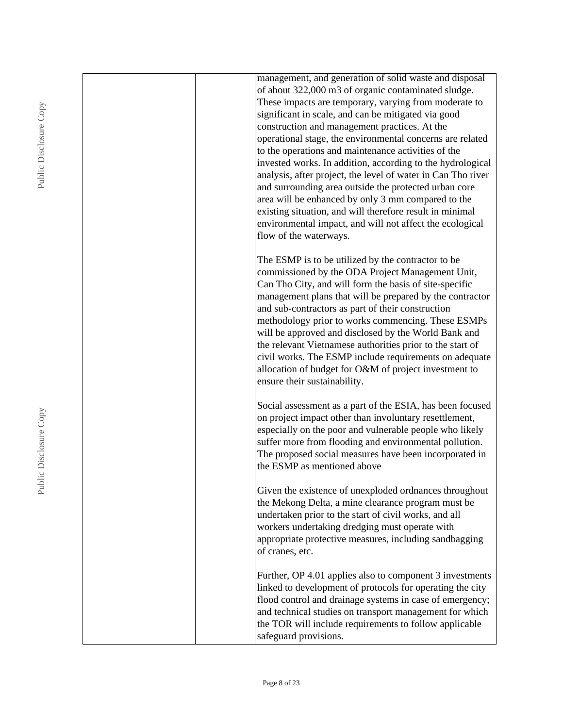|  | management, and generation of solid waste and disposal                                                 |
|--|--------------------------------------------------------------------------------------------------------|
|  | of about 322,000 m3 of organic contaminated sludge.                                                    |
|  | These impacts are temporary, varying from moderate to                                                  |
|  | significant in scale, and can be mitigated via good                                                    |
|  | construction and management practices. At the                                                          |
|  | operational stage, the environmental concerns are related                                              |
|  | to the operations and maintenance activities of the                                                    |
|  | invested works. In addition, according to the hydrological                                             |
|  | analysis, after project, the level of water in Can Tho river                                           |
|  | and surrounding area outside the protected urban core                                                  |
|  | area will be enhanced by only 3 mm compared to the                                                     |
|  | existing situation, and will therefore result in minimal                                               |
|  | environmental impact, and will not affect the ecological                                               |
|  | flow of the waterways.                                                                                 |
|  |                                                                                                        |
|  | The ESMP is to be utilized by the contractor to be<br>commissioned by the ODA Project Management Unit, |
|  | Can Tho City, and will form the basis of site-specific                                                 |
|  | management plans that will be prepared by the contractor                                               |
|  | and sub-contractors as part of their construction                                                      |
|  | methodology prior to works commencing. These ESMPs                                                     |
|  | will be approved and disclosed by the World Bank and                                                   |
|  | the relevant Vietnamese authorities prior to the start of                                              |
|  | civil works. The ESMP include requirements on adequate                                                 |
|  | allocation of budget for O&M of project investment to                                                  |
|  | ensure their sustainability.                                                                           |
|  |                                                                                                        |
|  | Social assessment as a part of the ESIA, has been focused                                              |
|  | on project impact other than involuntary resettlement,                                                 |
|  | especially on the poor and vulnerable people who likely                                                |
|  | suffer more from flooding and environmental pollution.                                                 |
|  | The proposed social measures have been incorporated in                                                 |
|  | the ESMP as mentioned above                                                                            |
|  |                                                                                                        |
|  | Given the existence of unexploded ordnances throughout                                                 |
|  | the Mekong Delta, a mine clearance program must be                                                     |
|  | undertaken prior to the start of civil works, and all                                                  |
|  | workers undertaking dredging must operate with                                                         |
|  | appropriate protective measures, including sandbagging                                                 |
|  | of cranes, etc.                                                                                        |
|  | Further, OP 4.01 applies also to component 3 investments                                               |
|  | linked to development of protocols for operating the city                                              |
|  | flood control and drainage systems in case of emergency;                                               |
|  | and technical studies on transport management for which                                                |
|  | the TOR will include requirements to follow applicable                                                 |
|  | safeguard provisions.                                                                                  |
|  |                                                                                                        |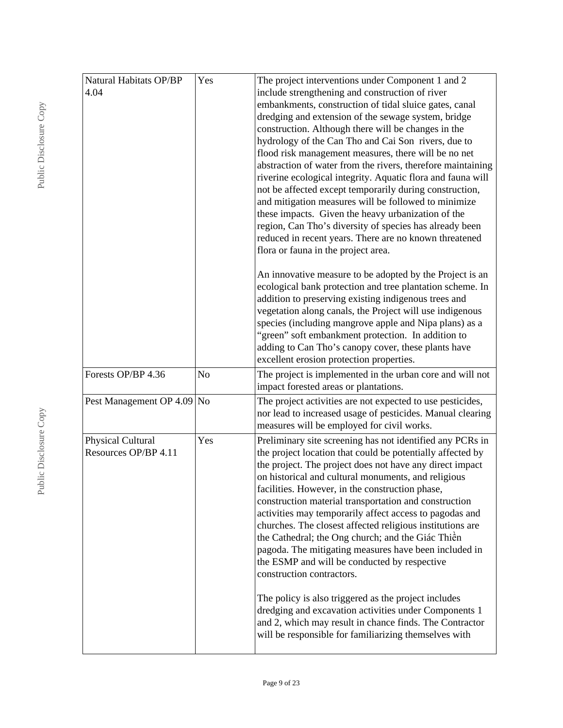| Natural Habitats OP/BP<br>Yes<br>4.04     |     | include strengthening and construction of river<br>embankments, construction of tidal sluice gates, canal<br>dredging and extension of the sewage system, bridge<br>construction. Although there will be changes in the<br>hydrology of the Can Tho and Cai Son rivers, due to<br>flood risk management measures, there will be no net<br>abstraction of water from the rivers, therefore maintaining<br>riverine ecological integrity. Aquatic flora and fauna will<br>not be affected except temporarily during construction,<br>and mitigation measures will be followed to minimize<br>these impacts. Given the heavy urbanization of the<br>region, Can Tho's diversity of species has already been<br>reduced in recent years. There are no known threatened<br>flora or fauna in the project area.<br>An innovative measure to be adopted by the Project is an<br>ecological bank protection and tree plantation scheme. In<br>addition to preserving existing indigenous trees and<br>vegetation along canals, the Project will use indigenous |  |  |  |
|-------------------------------------------|-----|--------------------------------------------------------------------------------------------------------------------------------------------------------------------------------------------------------------------------------------------------------------------------------------------------------------------------------------------------------------------------------------------------------------------------------------------------------------------------------------------------------------------------------------------------------------------------------------------------------------------------------------------------------------------------------------------------------------------------------------------------------------------------------------------------------------------------------------------------------------------------------------------------------------------------------------------------------------------------------------------------------------------------------------------------------|--|--|--|
|                                           |     | species (including mangrove apple and Nipa plans) as a<br>"green" soft embankment protection. In addition to<br>adding to Can Tho's canopy cover, these plants have<br>excellent erosion protection properties.                                                                                                                                                                                                                                                                                                                                                                                                                                                                                                                                                                                                                                                                                                                                                                                                                                        |  |  |  |
| Forests OP/BP 4.36                        | No  | The project is implemented in the urban core and will not<br>impact forested areas or plantations.                                                                                                                                                                                                                                                                                                                                                                                                                                                                                                                                                                                                                                                                                                                                                                                                                                                                                                                                                     |  |  |  |
| Pest Management OP 4.09 No                |     | The project activities are not expected to use pesticides,<br>nor lead to increased usage of pesticides. Manual clearing<br>measures will be employed for civil works.                                                                                                                                                                                                                                                                                                                                                                                                                                                                                                                                                                                                                                                                                                                                                                                                                                                                                 |  |  |  |
| Physical Cultural<br>Resources OP/BP 4.11 | Yes | Preliminary site screening has not identified any PCRs in<br>the project location that could be potentially affected by<br>the project. The project does not have any direct impact<br>on historical and cultural monuments, and religious<br>facilities. However, in the construction phase,<br>construction material transportation and construction<br>activities may temporarily affect access to pagodas and<br>churches. The closest affected religious institutions are<br>the Cathedral; the Ong church; and the Giác Thiền<br>pagoda. The mitigating measures have been included in<br>the ESMP and will be conducted by respective<br>construction contractors.<br>The policy is also triggered as the project includes<br>dredging and excavation activities under Components 1<br>and 2, which may result in chance finds. The Contractor<br>will be responsible for familiarizing themselves with                                                                                                                                         |  |  |  |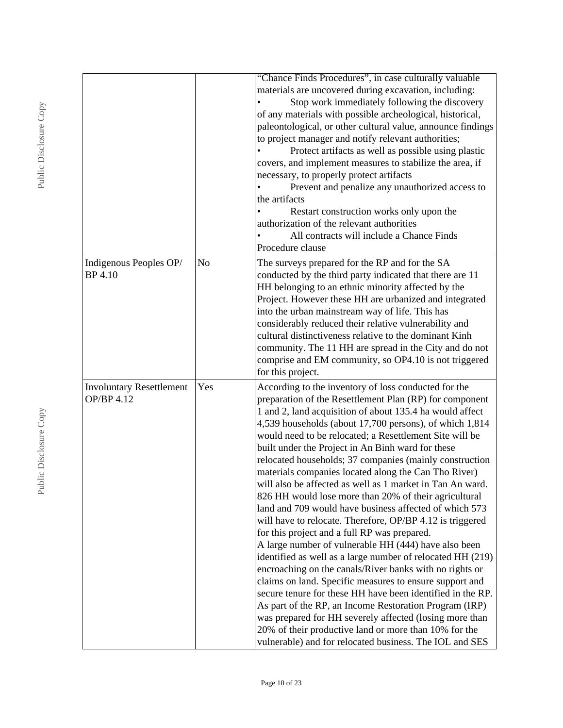|                                               |                | "Chance Finds Procedures", in case culturally valuable<br>materials are uncovered during excavation, including:<br>Stop work immediately following the discovery<br>of any materials with possible archeological, historical,<br>paleontological, or other cultural value, announce findings<br>to project manager and notify relevant authorities;<br>Protect artifacts as well as possible using plastic<br>covers, and implement measures to stabilize the area, if<br>necessary, to properly protect artifacts<br>Prevent and penalize any unauthorized access to<br>the artifacts<br>Restart construction works only upon the<br>authorization of the relevant authorities                                                                                                                                                                                                                                                                                                                                                                                                                                                                                                                                                                                                                                           |
|-----------------------------------------------|----------------|---------------------------------------------------------------------------------------------------------------------------------------------------------------------------------------------------------------------------------------------------------------------------------------------------------------------------------------------------------------------------------------------------------------------------------------------------------------------------------------------------------------------------------------------------------------------------------------------------------------------------------------------------------------------------------------------------------------------------------------------------------------------------------------------------------------------------------------------------------------------------------------------------------------------------------------------------------------------------------------------------------------------------------------------------------------------------------------------------------------------------------------------------------------------------------------------------------------------------------------------------------------------------------------------------------------------------|
|                                               |                | All contracts will include a Chance Finds<br>Procedure clause                                                                                                                                                                                                                                                                                                                                                                                                                                                                                                                                                                                                                                                                                                                                                                                                                                                                                                                                                                                                                                                                                                                                                                                                                                                             |
| Indigenous Peoples OP/<br><b>BP</b> 4.10      | N <sub>o</sub> | The surveys prepared for the RP and for the SA<br>conducted by the third party indicated that there are 11<br>HH belonging to an ethnic minority affected by the<br>Project. However these HH are urbanized and integrated<br>into the urban mainstream way of life. This has<br>considerably reduced their relative vulnerability and<br>cultural distinctiveness relative to the dominant Kinh<br>community. The 11 HH are spread in the City and do not<br>comprise and EM community, so OP4.10 is not triggered<br>for this project.                                                                                                                                                                                                                                                                                                                                                                                                                                                                                                                                                                                                                                                                                                                                                                                  |
| <b>Involuntary Resettlement</b><br>OP/BP 4.12 | Yes            | According to the inventory of loss conducted for the<br>preparation of the Resettlement Plan (RP) for component<br>1 and 2, land acquisition of about 135.4 ha would affect<br>4,539 households (about 17,700 persons), of which 1,814<br>would need to be relocated; a Resettlement Site will be<br>built under the Project in An Binh ward for these<br>relocated households; 37 companies (mainly construction<br>materials companies located along the Can Tho River)<br>will also be affected as well as 1 market in Tan An ward.<br>826 HH would lose more than 20% of their agricultural<br>land and 709 would have business affected of which 573<br>will have to relocate. Therefore, OP/BP 4.12 is triggered<br>for this project and a full RP was prepared.<br>A large number of vulnerable HH (444) have also been<br>identified as well as a large number of relocated HH (219)<br>encroaching on the canals/River banks with no rights or<br>claims on land. Specific measures to ensure support and<br>secure tenure for these HH have been identified in the RP.<br>As part of the RP, an Income Restoration Program (IRP)<br>was prepared for HH severely affected (losing more than<br>20% of their productive land or more than 10% for the<br>vulnerable) and for relocated business. The IOL and SES |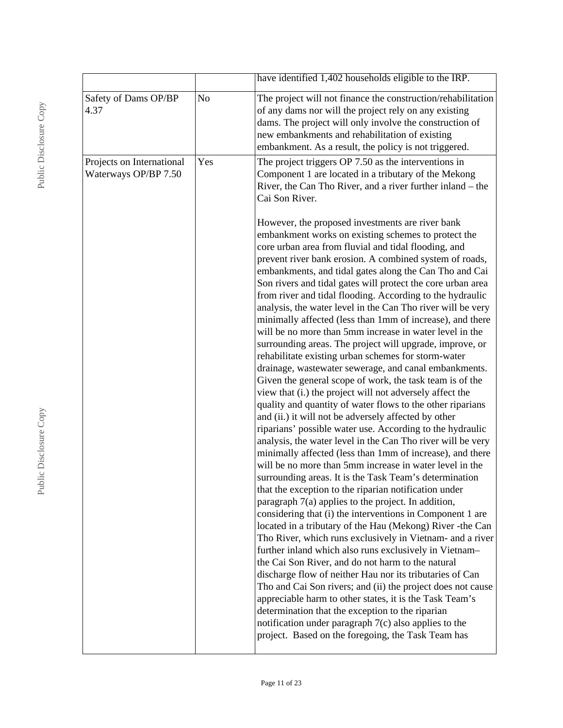|                                                   |                | have identified 1,402 households eligible to the IRP.                                                                                                                                                                                                                                                                                                                                                                                                                                                                                                                                                                                                                                                                                                                                                                                                                                                                                                                                                                                                                                                                                                                                                                                                                                                                                                                                                                                                                                                                                                                                                                                                                                                                                                                                                                                                                                                                                                                                                                                                                                                                             |
|---------------------------------------------------|----------------|-----------------------------------------------------------------------------------------------------------------------------------------------------------------------------------------------------------------------------------------------------------------------------------------------------------------------------------------------------------------------------------------------------------------------------------------------------------------------------------------------------------------------------------------------------------------------------------------------------------------------------------------------------------------------------------------------------------------------------------------------------------------------------------------------------------------------------------------------------------------------------------------------------------------------------------------------------------------------------------------------------------------------------------------------------------------------------------------------------------------------------------------------------------------------------------------------------------------------------------------------------------------------------------------------------------------------------------------------------------------------------------------------------------------------------------------------------------------------------------------------------------------------------------------------------------------------------------------------------------------------------------------------------------------------------------------------------------------------------------------------------------------------------------------------------------------------------------------------------------------------------------------------------------------------------------------------------------------------------------------------------------------------------------------------------------------------------------------------------------------------------------|
| Safety of Dams OP/BP<br>4.37                      | N <sub>o</sub> | The project will not finance the construction/rehabilitation<br>of any dams nor will the project rely on any existing<br>dams. The project will only involve the construction of<br>new embankments and rehabilitation of existing<br>embankment. As a result, the policy is not triggered.                                                                                                                                                                                                                                                                                                                                                                                                                                                                                                                                                                                                                                                                                                                                                                                                                                                                                                                                                                                                                                                                                                                                                                                                                                                                                                                                                                                                                                                                                                                                                                                                                                                                                                                                                                                                                                       |
| Projects on International<br>Waterways OP/BP 7.50 | Yes            | The project triggers OP 7.50 as the interventions in<br>Component 1 are located in a tributary of the Mekong<br>River, the Can Tho River, and a river further inland – the<br>Cai Son River.                                                                                                                                                                                                                                                                                                                                                                                                                                                                                                                                                                                                                                                                                                                                                                                                                                                                                                                                                                                                                                                                                                                                                                                                                                                                                                                                                                                                                                                                                                                                                                                                                                                                                                                                                                                                                                                                                                                                      |
|                                                   |                | However, the proposed investments are river bank<br>embankment works on existing schemes to protect the<br>core urban area from fluvial and tidal flooding, and<br>prevent river bank erosion. A combined system of roads,<br>embankments, and tidal gates along the Can Tho and Cai<br>Son rivers and tidal gates will protect the core urban area<br>from river and tidal flooding. According to the hydraulic<br>analysis, the water level in the Can Tho river will be very<br>minimally affected (less than 1mm of increase), and there<br>will be no more than 5mm increase in water level in the<br>surrounding areas. The project will upgrade, improve, or<br>rehabilitate existing urban schemes for storm-water<br>drainage, wastewater sewerage, and canal embankments.<br>Given the general scope of work, the task team is of the<br>view that (i.) the project will not adversely affect the<br>quality and quantity of water flows to the other riparians<br>and (ii.) it will not be adversely affected by other<br>riparians' possible water use. According to the hydraulic<br>analysis, the water level in the Can Tho river will be very<br>minimally affected (less than 1mm of increase), and there<br>will be no more than 5mm increase in water level in the<br>surrounding areas. It is the Task Team's determination<br>that the exception to the riparian notification under<br>paragraph 7(a) applies to the project. In addition,<br>considering that (i) the interventions in Component 1 are<br>located in a tributary of the Hau (Mekong) River - the Can<br>Tho River, which runs exclusively in Vietnam- and a river<br>further inland which also runs exclusively in Vietnam-<br>the Cai Son River, and do not harm to the natural<br>discharge flow of neither Hau nor its tributaries of Can<br>Tho and Cai Son rivers; and (ii) the project does not cause<br>appreciable harm to other states, it is the Task Team's<br>determination that the exception to the riparian<br>notification under paragraph $7(c)$ also applies to the<br>project. Based on the foregoing, the Task Team has |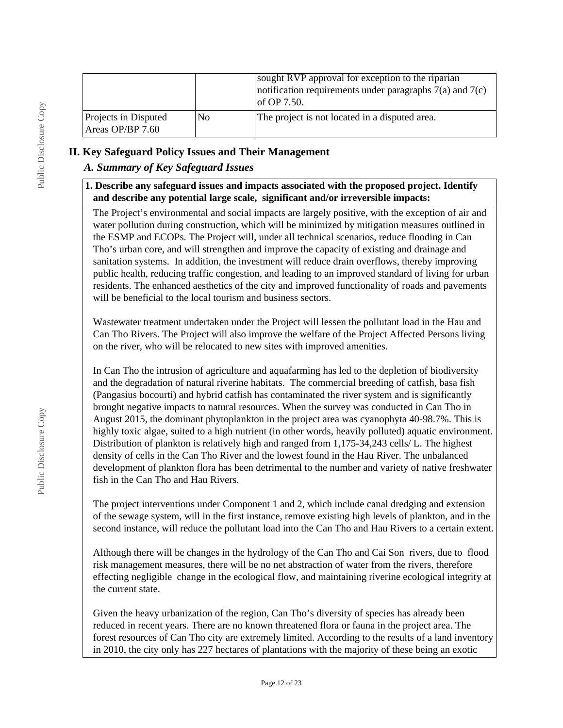|                                          |                | sought RVP approval for exception to the riparian<br>notification requirements under paragraphs $7(a)$ and $7(c)$<br>of OP $7.50$ . |
|------------------------------------------|----------------|-------------------------------------------------------------------------------------------------------------------------------------|
| Projects in Disputed<br>Areas OP/BP 7.60 | N <sub>0</sub> | The project is not located in a disputed area.                                                                                      |

#### **II. Key Safeguard Policy Issues and Their Management**

### *A. Summary of Key Safeguard Issues*

#### **1. Describe any safeguard issues and impacts associated with the proposed project. Identify and describe any potential large scale, significant and/or irreversible impacts:**

The Project's environmental and social impacts are largely positive, with the exception of air and water pollution during construction, which will be minimized by mitigation measures outlined in the ESMP and ECOPs. The Project will, under all technical scenarios, reduce flooding in Can Tho's urban core, and will strengthen and improve the capacity of existing and drainage and sanitation systems. In addition, the investment will reduce drain overflows, thereby improving public health, reducing traffic congestion, and leading to an improved standard of living for urban residents. The enhanced aesthetics of the city and improved functionality of roads and pavements will be beneficial to the local tourism and business sectors.

Wastewater treatment undertaken under the Project will lessen the pollutant load in the Hau and Can Tho Rivers. The Project will also improve the welfare of the Project Affected Persons living on the river, who will be relocated to new sites with improved amenities.

In Can Tho the intrusion of agriculture and aquafarming has led to the depletion of biodiversity and the degradation of natural riverine habitats. The commercial breeding of catfish, basa fish (Pangasius bocourti) and hybrid catfish has contaminated the river system and is significantly brought negative impacts to natural resources. When the survey was conducted in Can Tho in August 2015, the dominant phytoplankton in the project area was cyanophyta 40-98.7%. This is highly toxic algae, suited to a high nutrient (in other words, heavily polluted) aquatic environment. Distribution of plankton is relatively high and ranged from 1,175-34,243 cells/ L. The highest density of cells in the Can Tho River and the lowest found in the Hau River. The unbalanced development of plankton flora has been detrimental to the number and variety of native freshwater fish in the Can Tho and Hau Rivers.

The project interventions under Component 1 and 2, which include canal dredging and extension of the sewage system, will in the first instance, remove existing high levels of plankton, and in the second instance, will reduce the pollutant load into the Can Tho and Hau Rivers to a certain extent.

Although there will be changes in the hydrology of the Can Tho and Cai Son rivers, due to flood risk management measures, there will be no net abstraction of water from the rivers, therefore effecting negligible change in the ecological flow, and maintaining riverine ecological integrity at the current state.

Given the heavy urbanization of the region, Can Tho's diversity of species has already been reduced in recent years. There are no known threatened flora or fauna in the project area. The forest resources of Can Tho city are extremely limited. According to the results of a land inventory in 2010, the city only has 227 hectares of plantations with the majority of these being an exotic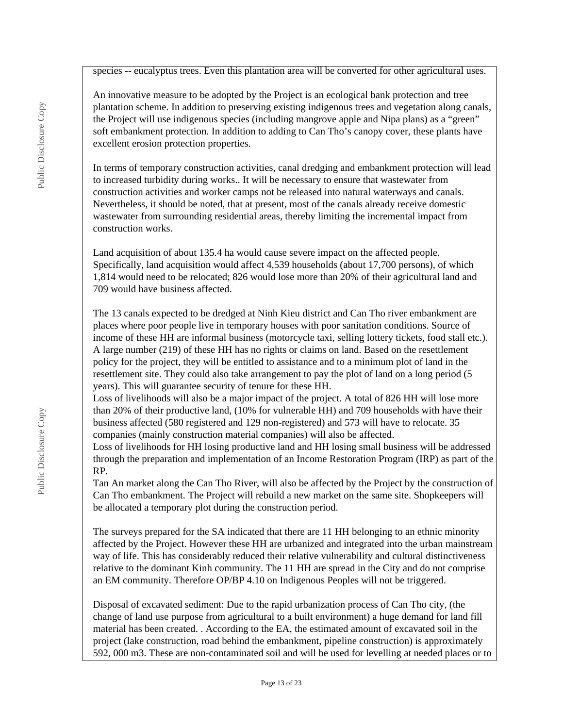species -- eucalyptus trees. Even this plantation area will be converted for other agricultural uses.

An innovative measure to be adopted by the Project is an ecological bank protection and tree plantation scheme. In addition to preserving existing indigenous trees and vegetation along canals, the Project will use indigenous species (including mangrove apple and Nipa plans) as a "green" soft embankment protection. In addition to adding to Can Tho's canopy cover, these plants have excellent erosion protection properties.

In terms of temporary construction activities, canal dredging and embankment protection will lead to increased turbidity during works.. It will be necessary to ensure that wastewater from construction activities and worker camps not be released into natural waterways and canals. Nevertheless, it should be noted, that at present, most of the canals already receive domestic wastewater from surrounding residential areas, thereby limiting the incremental impact from construction works.

Land acquisition of about 135.4 ha would cause severe impact on the affected people. Specifically, land acquisition would affect 4,539 households (about 17,700 persons), of which 1,814 would need to be relocated; 826 would lose more than 20% of their agricultural land and 709 would have business affected.

The 13 canals expected to be dredged at Ninh Kieu district and Can Tho river embankment are places where poor people live in temporary houses with poor sanitation conditions. Source of income of these HH are informal business (motorcycle taxi, selling lottery tickets, food stall etc.). A large number (219) of these HH has no rights or claims on land. Based on the resettlement policy for the project, they will be entitled to assistance and to a minimum plot of land in the resettlement site. They could also take arrangement to pay the plot of land on a long period (5 years). This will guarantee security of tenure for these HH.

Loss of livelihoods will also be a major impact of the project. A total of 826 HH will lose more than 20% of their productive land, (10% for vulnerable HH) and 709 households with have their business affected (580 registered and 129 non-registered) and 573 will have to relocate. 35 companies (mainly construction material companies) will also be affected.

Loss of livelihoods for HH losing productive land and HH losing small business will be addressed through the preparation and implementation of an Income Restoration Program (IRP) as part of the RP.

Tan An market along the Can Tho River, will also be affected by the Project by the construction of Can Tho embankment. The Project will rebuild a new market on the same site. Shopkeepers will be allocated a temporary plot during the construction period.

The surveys prepared for the SA indicated that there are 11 HH belonging to an ethnic minority affected by the Project. However these HH are urbanized and integrated into the urban mainstream way of life. This has considerably reduced their relative vulnerability and cultural distinctiveness relative to the dominant Kinh community. The 11 HH are spread in the City and do not comprise an EM community. Therefore OP/BP 4.10 on Indigenous Peoples will not be triggered.

Disposal of excavated sediment: Due to the rapid urbanization process of Can Tho city, (the change of land use purpose from agricultural to a built environment) a huge demand for land fill material has been created. . According to the EA, the estimated amount of excavated soil in the project (lake construction, road behind the embankment, pipeline construction) is approximately 592, 000 m3. These are non-contaminated soil and will be used for levelling at needed places or to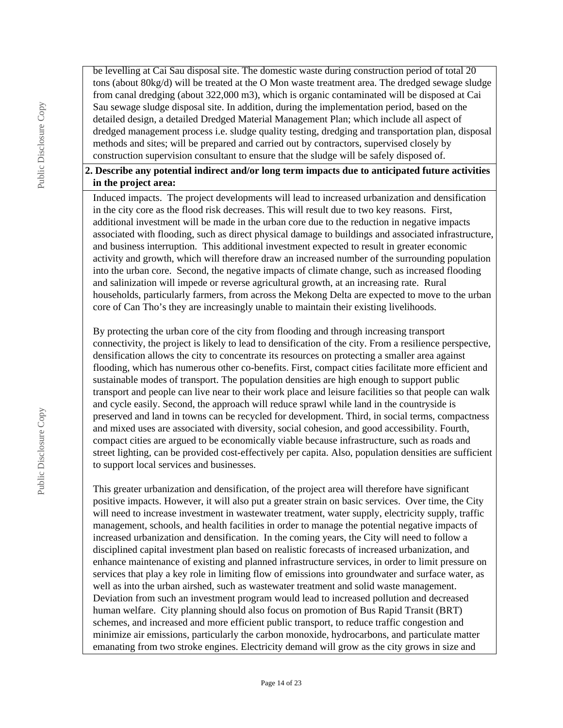be levelling at Cai Sau disposal site. The domestic waste during construction period of total 20 tons (about 80kg/d) will be treated at the O Mon waste treatment area. The dredged sewage sludge from canal dredging (about 322,000 m3), which is organic contaminated will be disposed at Cai Sau sewage sludge disposal site. In addition, during the implementation period, based on the detailed design, a detailed Dredged Material Management Plan; which include all aspect of dredged management process i.e. sludge quality testing, dredging and transportation plan, disposal methods and sites; will be prepared and carried out by contractors, supervised closely by construction supervision consultant to ensure that the sludge will be safely disposed of.

#### **2. Describe any potential indirect and/or long term impacts due to anticipated future activities in the project area:**

Induced impacts. The project developments will lead to increased urbanization and densification in the city core as the flood risk decreases. This will result due to two key reasons. First, additional investment will be made in the urban core due to the reduction in negative impacts associated with flooding, such as direct physical damage to buildings and associated infrastructure, and business interruption. This additional investment expected to result in greater economic activity and growth, which will therefore draw an increased number of the surrounding population into the urban core. Second, the negative impacts of climate change, such as increased flooding and salinization will impede or reverse agricultural growth, at an increasing rate. Rural households, particularly farmers, from across the Mekong Delta are expected to move to the urban core of Can Tho's they are increasingly unable to maintain their existing livelihoods.

By protecting the urban core of the city from flooding and through increasing transport connectivity, the project is likely to lead to densification of the city. From a resilience perspective, densification allows the city to concentrate its resources on protecting a smaller area against flooding, which has numerous other co-benefits. First, compact cities facilitate more efficient and sustainable modes of transport. The population densities are high enough to support public transport and people can live near to their work place and leisure facilities so that people can walk and cycle easily. Second, the approach will reduce sprawl while land in the countryside is preserved and land in towns can be recycled for development. Third, in social terms, compactness and mixed uses are associated with diversity, social cohesion, and good accessibility. Fourth, compact cities are argued to be economically viable because infrastructure, such as roads and street lighting, can be provided cost-effectively per capita. Also, population densities are sufficient to support local services and businesses.

This greater urbanization and densification, of the project area will therefore have significant positive impacts. However, it will also put a greater strain on basic services. Over time, the City will need to increase investment in wastewater treatment, water supply, electricity supply, traffic management, schools, and health facilities in order to manage the potential negative impacts of increased urbanization and densification. In the coming years, the City will need to follow a disciplined capital investment plan based on realistic forecasts of increased urbanization, and enhance maintenance of existing and planned infrastructure services, in order to limit pressure on services that play a key role in limiting flow of emissions into groundwater and surface water, as well as into the urban airshed, such as wastewater treatment and solid waste management. Deviation from such an investment program would lead to increased pollution and decreased human welfare. City planning should also focus on promotion of Bus Rapid Transit (BRT) schemes, and increased and more efficient public transport, to reduce traffic congestion and minimize air emissions, particularly the carbon monoxide, hydrocarbons, and particulate matter emanating from two stroke engines. Electricity demand will grow as the city grows in size and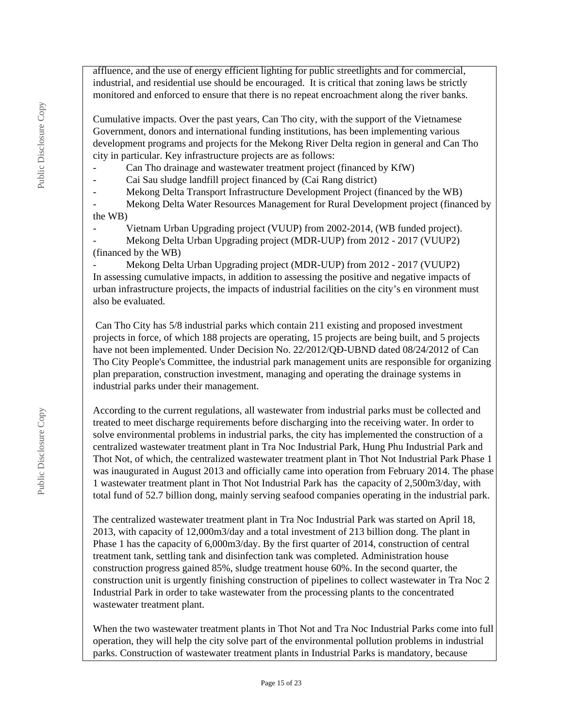affluence, and the use of energy efficient lighting for public streetlights and for commercial, industrial, and residential use should be encouraged. It is critical that zoning laws be strictly monitored and enforced to ensure that there is no repeat encroachment along the river banks.

Cumulative impacts. Over the past years, Can Tho city, with the support of the Vietnamese Government, donors and international funding institutions, has been implementing various development programs and projects for the Mekong River Delta region in general and Can Tho city in particular. Key infrastructure projects are as follows:

Can Tho drainage and wastewater treatment project (financed by KfW)

- Cai Sau sludge landfill project financed by (Cai Rang district)

Mekong Delta Transport Infrastructure Development Project (financed by the WB)

Mekong Delta Water Resources Management for Rural Development project (financed by the WB)

Vietnam Urban Upgrading project (VUUP) from 2002-2014, (WB funded project).

Mekong Delta Urban Upgrading project (MDR-UUP) from 2012 - 2017 (VUUP2) (financed by the WB)

Mekong Delta Urban Upgrading project (MDR-UUP) from 2012 - 2017 (VUUP2) In assessing cumulative impacts, in addition to assessing the positive and negative impacts of urban infrastructure projects, the impacts of industrial facilities on the city's en vironment must also be evaluated.

 Can Tho City has 5/8 industrial parks which contain 211 existing and proposed investment projects in force, of which 188 projects are operating, 15 projects are being built, and 5 projects have not been implemented. Under Decision No. 22/2012/QĐ-UBND dated 08/24/2012 of Can Tho City People's Committee, the industrial park management units are responsible for organizing plan preparation, construction investment, managing and operating the drainage systems in industrial parks under their management.

According to the current regulations, all wastewater from industrial parks must be collected and treated to meet discharge requirements before discharging into the receiving water. In order to solve environmental problems in industrial parks, the city has implemented the construction of a centralized wastewater treatment plant in Tra Noc Industrial Park, Hung Phu Industrial Park and Thot Not, of which, the centralized wastewater treatment plant in Thot Not Industrial Park Phase 1 was inaugurated in August 2013 and officially came into operation from February 2014. The phase 1 wastewater treatment plant in Thot Not Industrial Park has the capacity of 2,500m3/day, with total fund of 52.7 billion dong, mainly serving seafood companies operating in the industrial park.

The centralized wastewater treatment plant in Tra Noc Industrial Park was started on April 18, 2013, with capacity of 12,000m3/day and a total investment of 213 billion dong. The plant in Phase 1 has the capacity of 6,000m3/day. By the first quarter of 2014, construction of central treatment tank, settling tank and disinfection tank was completed. Administration house construction progress gained 85%, sludge treatment house 60%. In the second quarter, the construction unit is urgently finishing construction of pipelines to collect wastewater in Tra Noc 2 Industrial Park in order to take wastewater from the processing plants to the concentrated wastewater treatment plant.

When the two wastewater treatment plants in Thot Not and Tra Noc Industrial Parks come into full operation, they will help the city solve part of the environmental pollution problems in industrial parks. Construction of wastewater treatment plants in Industrial Parks is mandatory, because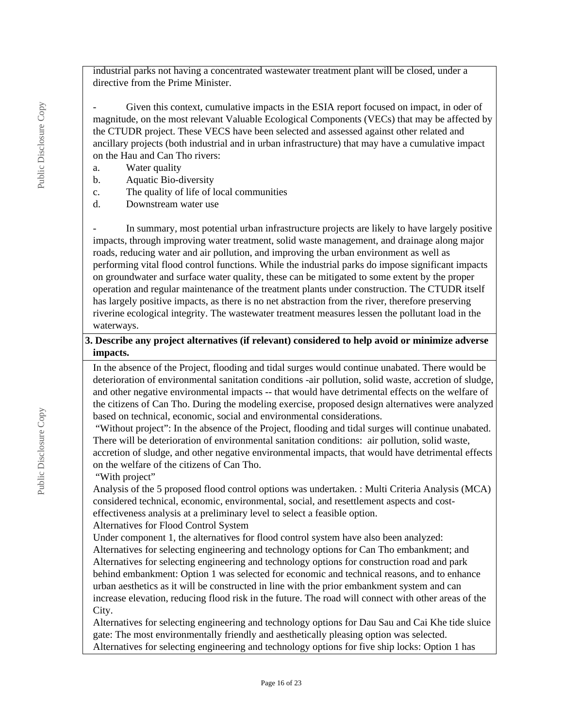industrial parks not having a concentrated wastewater treatment plant will be closed, under a directive from the Prime Minister.

Given this context, cumulative impacts in the ESIA report focused on impact, in oder of magnitude, on the most relevant Valuable Ecological Components (VECs) that may be affected by the CTUDR project. These VECS have been selected and assessed against other related and ancillary projects (both industrial and in urban infrastructure) that may have a cumulative impact on the Hau and Can Tho rivers:

- a. Water quality
- b. Aquatic Bio-diversity
- c. The quality of life of local communities
- d. Downstream water use

In summary, most potential urban infrastructure projects are likely to have largely positive impacts, through improving water treatment, solid waste management, and drainage along major roads, reducing water and air pollution, and improving the urban environment as well as performing vital flood control functions. While the industrial parks do impose significant impacts on groundwater and surface water quality, these can be mitigated to some extent by the proper operation and regular maintenance of the treatment plants under construction. The CTUDR itself has largely positive impacts, as there is no net abstraction from the river, therefore preserving riverine ecological integrity. The wastewater treatment measures lessen the pollutant load in the waterways.

#### **3. Describe any project alternatives (if relevant) considered to help avoid or minimize adverse impacts.**

In the absence of the Project, flooding and tidal surges would continue unabated. There would be deterioration of environmental sanitation conditions -air pollution, solid waste, accretion of sludge, and other negative environmental impacts -- that would have detrimental effects on the welfare of the citizens of Can Tho. During the modeling exercise, proposed design alternatives were analyzed based on technical, economic, social and environmental considerations.

 "Without project": In the absence of the Project, flooding and tidal surges will continue unabated. There will be deterioration of environmental sanitation conditions: air pollution, solid waste, accretion of sludge, and other negative environmental impacts, that would have detrimental effects on the welfare of the citizens of Can Tho.

"With project"

Analysis of the 5 proposed flood control options was undertaken. : Multi Criteria Analysis (MCA) considered technical, economic, environmental, social, and resettlement aspects and costeffectiveness analysis at a preliminary level to select a feasible option.

Alternatives for Flood Control System

Under component 1, the alternatives for flood control system have also been analyzed:

Alternatives for selecting engineering and technology options for Can Tho embankment; and Alternatives for selecting engineering and technology options for construction road and park behind embankment: Option 1 was selected for economic and technical reasons, and to enhance urban aesthetics as it will be constructed in line with the prior embankment system and can increase elevation, reducing flood risk in the future. The road will connect with other areas of the City.

Alternatives for selecting engineering and technology options for Dau Sau and Cai Khe tide sluice gate: The most environmentally friendly and aesthetically pleasing option was selected. Alternatives for selecting engineering and technology options for five ship locks: Option 1 has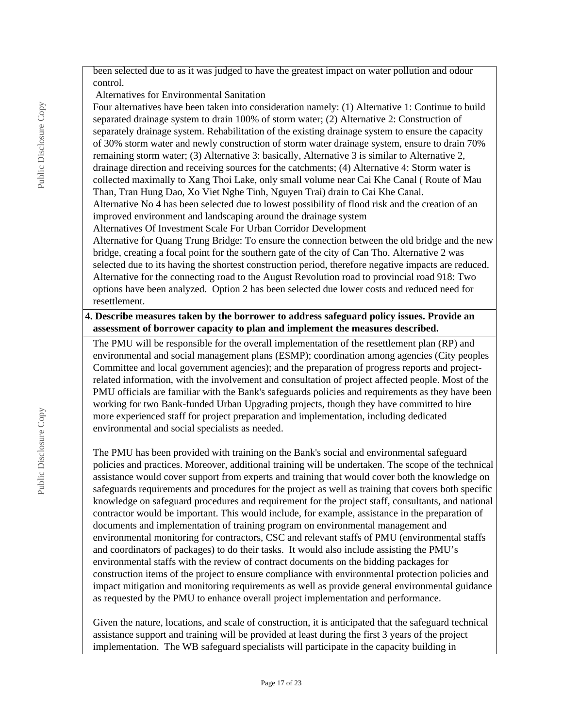been selected due to as it was judged to have the greatest impact on water pollution and odour control.

Alternatives for Environmental Sanitation

Four alternatives have been taken into consideration namely: (1) Alternative 1: Continue to build separated drainage system to drain 100% of storm water; (2) Alternative 2: Construction of separately drainage system. Rehabilitation of the existing drainage system to ensure the capacity of 30% storm water and newly construction of storm water drainage system, ensure to drain 70% remaining storm water; (3) Alternative 3: basically, Alternative 3 is similar to Alternative 2, drainage direction and receiving sources for the catchments; (4) Alternative 4: Storm water is collected maximally to Xang Thoi Lake, only small volume near Cai Khe Canal ( Route of Mau Than, Tran Hung Dao, Xo Viet Nghe Tinh, Nguyen Trai) drain to Cai Khe Canal. Alternative No 4 has been selected due to lowest possibility of flood risk and the creation of an improved environment and landscaping around the drainage system Alternatives Of Investment Scale For Urban Corridor Development

Alternative for Quang Trung Bridge: To ensure the connection between the old bridge and the new bridge, creating a focal point for the southern gate of the city of Can Tho. Alternative 2 was selected due to its having the shortest construction period, therefore negative impacts are reduced. Alternative for the connecting road to the August Revolution road to provincial road 918: Two options have been analyzed. Option 2 has been selected due lower costs and reduced need for resettlement.

#### **4. Describe measures taken by the borrower to address safeguard policy issues. Provide an assessment of borrower capacity to plan and implement the measures described.**

The PMU will be responsible for the overall implementation of the resettlement plan (RP) and environmental and social management plans (ESMP); coordination among agencies (City peoples Committee and local government agencies); and the preparation of progress reports and projectrelated information, with the involvement and consultation of project affected people. Most of the PMU officials are familiar with the Bank's safeguards policies and requirements as they have been working for two Bank-funded Urban Upgrading projects, though they have committed to hire more experienced staff for project preparation and implementation, including dedicated environmental and social specialists as needed.

The PMU has been provided with training on the Bank's social and environmental safeguard policies and practices. Moreover, additional training will be undertaken. The scope of the technical assistance would cover support from experts and training that would cover both the knowledge on safeguards requirements and procedures for the project as well as training that covers both specific knowledge on safeguard procedures and requirement for the project staff, consultants, and national contractor would be important. This would include, for example, assistance in the preparation of documents and implementation of training program on environmental management and environmental monitoring for contractors, CSC and relevant staffs of PMU (environmental staffs and coordinators of packages) to do their tasks. It would also include assisting the PMU's environmental staffs with the review of contract documents on the bidding packages for construction items of the project to ensure compliance with environmental protection policies and impact mitigation and monitoring requirements as well as provide general environmental guidance as requested by the PMU to enhance overall project implementation and performance.

Given the nature, locations, and scale of construction, it is anticipated that the safeguard technical assistance support and training will be provided at least during the first 3 years of the project implementation. The WB safeguard specialists will participate in the capacity building in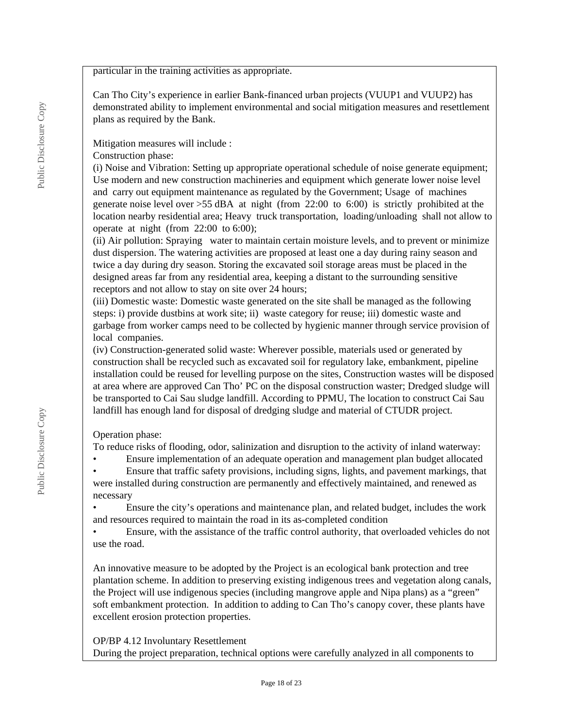particular in the training activities as appropriate.

Can Tho City's experience in earlier Bank-financed urban projects (VUUP1 and VUUP2) has demonstrated ability to implement environmental and social mitigation measures and resettlement plans as required by the Bank.

Mitigation measures will include :

Construction phase:

(i) Noise and Vibration: Setting up appropriate operational schedule of noise generate equipment; Use modern and new construction machineries and equipment which generate lower noise level and carry out equipment maintenance as regulated by the Government; Usage of machines generate noise level over >55 dBA at night (from 22:00 to 6:00) is strictly prohibited at the location nearby residential area; Heavy truck transportation, loading/unloading shall not allow to operate at night (from 22:00 to 6:00);

(ii) Air pollution: Spraying water to maintain certain moisture levels, and to prevent or minimize dust dispersion. The watering activities are proposed at least one a day during rainy season and twice a day during dry season. Storing the excavated soil storage areas must be placed in the designed areas far from any residential area, keeping a distant to the surrounding sensitive receptors and not allow to stay on site over 24 hours;

(iii) Domestic waste: Domestic waste generated on the site shall be managed as the following steps: i) provide dustbins at work site; ii) waste category for reuse; iii) domestic waste and garbage from worker camps need to be collected by hygienic manner through service provision of local companies.

(iv) Construction-generated solid waste: Wherever possible, materials used or generated by construction shall be recycled such as excavated soil for regulatory lake, embankment, pipeline installation could be reused for levelling purpose on the sites, Construction wastes will be disposed at area where are approved Can Tho' PC on the disposal construction waster; Dredged sludge will be transported to Cai Sau sludge landfill. According to PPMU, The location to construct Cai Sau landfill has enough land for disposal of dredging sludge and material of CTUDR project.

Operation phase:

To reduce risks of flooding, odor, salinization and disruption to the activity of inland waterway:

• Ensure implementation of an adequate operation and management plan budget allocated

• Ensure that traffic safety provisions, including signs, lights, and pavement markings, that were installed during construction are permanently and effectively maintained, and renewed as necessary

• Ensure the city's operations and maintenance plan, and related budget, includes the work and resources required to maintain the road in its as-completed condition

• Ensure, with the assistance of the traffic control authority, that overloaded vehicles do not use the road.

An innovative measure to be adopted by the Project is an ecological bank protection and tree plantation scheme. In addition to preserving existing indigenous trees and vegetation along canals, the Project will use indigenous species (including mangrove apple and Nipa plans) as a "green" soft embankment protection. In addition to adding to Can Tho's canopy cover, these plants have excellent erosion protection properties.

#### OP/BP 4.12 Involuntary Resettlement

During the project preparation, technical options were carefully analyzed in all components to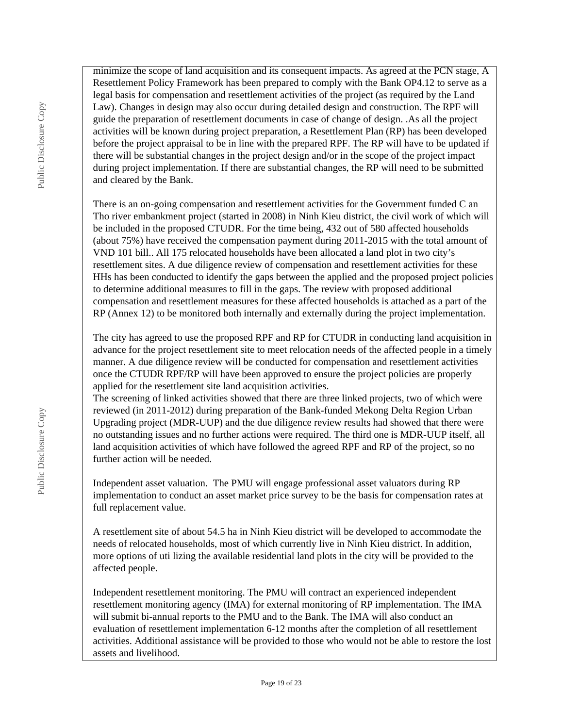minimize the scope of land acquisition and its consequent impacts. As agreed at the PCN stage, A Resettlement Policy Framework has been prepared to comply with the Bank OP4.12 to serve as a legal basis for compensation and resettlement activities of the project (as required by the Land Law). Changes in design may also occur during detailed design and construction. The RPF will guide the preparation of resettlement documents in case of change of design. .As all the project activities will be known during project preparation, a Resettlement Plan (RP) has been developed before the project appraisal to be in line with the prepared RPF. The RP will have to be updated if there will be substantial changes in the project design and/or in the scope of the project impact during project implementation. If there are substantial changes, the RP will need to be submitted and cleared by the Bank.

There is an on-going compensation and resettlement activities for the Government funded C an Tho river embankment project (started in 2008) in Ninh Kieu district, the civil work of which will be included in the proposed CTUDR. For the time being, 432 out of 580 affected households (about 75%) have received the compensation payment during 2011-2015 with the total amount of VND 101 bill.. All 175 relocated households have been allocated a land plot in two city's resettlement sites. A due diligence review of compensation and resettlement activities for these HHs has been conducted to identify the gaps between the applied and the proposed project policies to determine additional measures to fill in the gaps. The review with proposed additional compensation and resettlement measures for these affected households is attached as a part of the RP (Annex 12) to be monitored both internally and externally during the project implementation.

The city has agreed to use the proposed RPF and RP for CTUDR in conducting land acquisition in advance for the project resettlement site to meet relocation needs of the affected people in a timely manner. A due diligence review will be conducted for compensation and resettlement activities once the CTUDR RPF/RP will have been approved to ensure the project policies are properly applied for the resettlement site land acquisition activities.

The screening of linked activities showed that there are three linked projects, two of which were reviewed (in 2011-2012) during preparation of the Bank-funded Mekong Delta Region Urban Upgrading project (MDR-UUP) and the due diligence review results had showed that there were no outstanding issues and no further actions were required. The third one is MDR-UUP itself, all land acquisition activities of which have followed the agreed RPF and RP of the project, so no further action will be needed.

Independent asset valuation. The PMU will engage professional asset valuators during RP implementation to conduct an asset market price survey to be the basis for compensation rates at full replacement value.

A resettlement site of about 54.5 ha in Ninh Kieu district will be developed to accommodate the needs of relocated households, most of which currently live in Ninh Kieu district. In addition, more options of uti lizing the available residential land plots in the city will be provided to the affected people.

Independent resettlement monitoring. The PMU will contract an experienced independent resettlement monitoring agency (IMA) for external monitoring of RP implementation. The IMA will submit bi-annual reports to the PMU and to the Bank. The IMA will also conduct an evaluation of resettlement implementation 6-12 months after the completion of all resettlement activities. Additional assistance will be provided to those who would not be able to restore the lost assets and livelihood.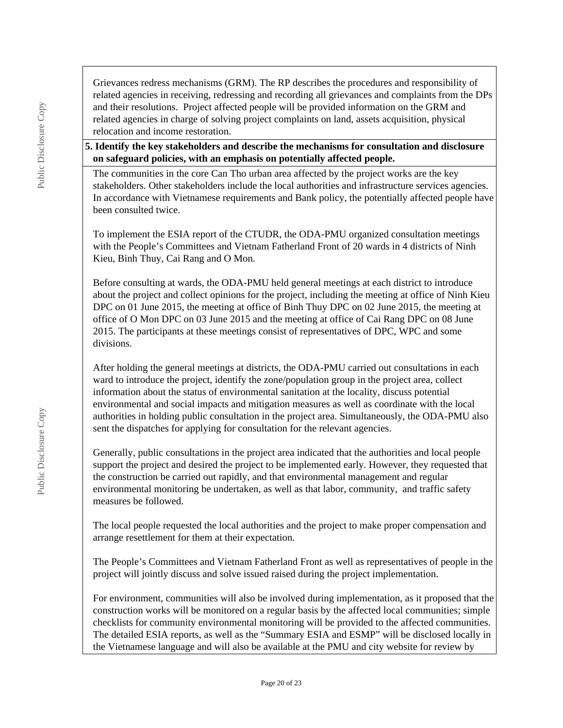Grievances redress mechanisms (GRM). The RP describes the procedures and responsibility of related agencies in receiving, redressing and recording all grievances and complaints from the DPs and their resolutions. Project affected people will be provided information on the GRM and related agencies in charge of solving project complaints on land, assets acquisition, physical relocation and income restoration.

**5. Identify the key stakeholders and describe the mechanisms for consultation and disclosure on safeguard policies, with an emphasis on potentially affected people.**

The communities in the core Can Tho urban area affected by the project works are the key stakeholders. Other stakeholders include the local authorities and infrastructure services agencies. In accordance with Vietnamese requirements and Bank policy, the potentially affected people have been consulted twice.

To implement the ESIA report of the CTUDR, the ODA-PMU organized consultation meetings with the People's Committees and Vietnam Fatherland Front of 20 wards in 4 districts of Ninh Kieu, Binh Thuy, Cai Rang and O Mon.

Before consulting at wards, the ODA-PMU held general meetings at each district to introduce about the project and collect opinions for the project, including the meeting at office of Ninh Kieu DPC on 01 June 2015, the meeting at office of Binh Thuy DPC on 02 June 2015, the meeting at office of O Mon DPC on 03 June 2015 and the meeting at office of Cai Rang DPC on 08 June 2015. The participants at these meetings consist of representatives of DPC, WPC and some divisions.

After holding the general meetings at districts, the ODA-PMU carried out consultations in each ward to introduce the project, identify the zone/population group in the project area, collect information about the status of environmental sanitation at the locality, discuss potential environmental and social impacts and mitigation measures as well as coordinate with the local authorities in holding public consultation in the project area. Simultaneously, the ODA-PMU also sent the dispatches for applying for consultation for the relevant agencies.

Generally, public consultations in the project area indicated that the authorities and local people support the project and desired the project to be implemented early. However, they requested that the construction be carried out rapidly, and that environmental management and regular environmental monitoring be undertaken, as well as that labor, community, and traffic safety measures be followed.

The local people requested the local authorities and the project to make proper compensation and arrange resettlement for them at their expectation.

The People's Committees and Vietnam Fatherland Front as well as representatives of people in the project will jointly discuss and solve issued raised during the project implementation.

For environment, communities will also be involved during implementation, as it proposed that the construction works will be monitored on a regular basis by the affected local communities; simple checklists for community environmental monitoring will be provided to the affected communities. The detailed ESIA reports, as well as the "Summary ESIA and ESMP" will be disclosed locally in the Vietnamese language and will also be available at the PMU and city website for review by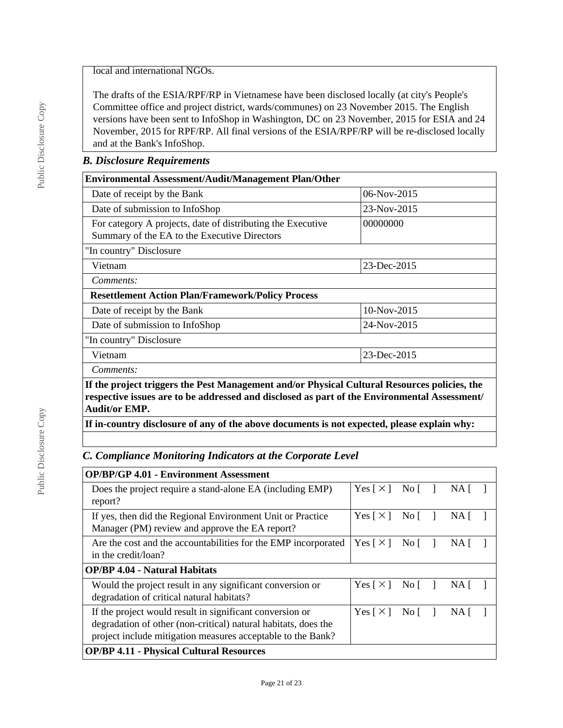local and international NGOs.

The drafts of the ESIA/RPF/RP in Vietnamese have been disclosed locally (at city's People's Committee office and project district, wards/communes) on 23 November 2015. The English versions have been sent to InfoShop in Washington, DC on 23 November, 2015 for ESIA and 24 November, 2015 for RPF/RP. All final versions of the ESIA/RPF/RP will be re-disclosed locally and at the Bank's InfoShop.

#### *B. Disclosure Requirements*

| <b>Environmental Assessment/Audit/Management Plan/Other</b>                                                                                                                                                          |             |  |  |  |
|----------------------------------------------------------------------------------------------------------------------------------------------------------------------------------------------------------------------|-------------|--|--|--|
| Date of receipt by the Bank                                                                                                                                                                                          | 06-Nov-2015 |  |  |  |
| Date of submission to InfoShop                                                                                                                                                                                       | 23-Nov-2015 |  |  |  |
| For category A projects, date of distributing the Executive<br>00000000<br>Summary of the EA to the Executive Directors                                                                                              |             |  |  |  |
| "In country" Disclosure                                                                                                                                                                                              |             |  |  |  |
| 23-Dec-2015<br>Vietnam                                                                                                                                                                                               |             |  |  |  |
| Comments:                                                                                                                                                                                                            |             |  |  |  |
| <b>Resettlement Action Plan/Framework/Policy Process</b>                                                                                                                                                             |             |  |  |  |
| Date of receipt by the Bank                                                                                                                                                                                          | 10-Nov-2015 |  |  |  |
| Date of submission to InfoShop<br>24-Nov-2015                                                                                                                                                                        |             |  |  |  |
| "In country" Disclosure                                                                                                                                                                                              |             |  |  |  |
| Vietnam                                                                                                                                                                                                              | 23-Dec-2015 |  |  |  |
| Comments:                                                                                                                                                                                                            |             |  |  |  |
| If the project triggers the Pest Management and/or Physical Cultural Resources policies, the<br>respective issues are to be addressed and disclosed as part of the Environmental Assessment/<br><b>Audit/or EMP.</b> |             |  |  |  |

**If in-country disclosure of any of the above documents is not expected, please explain why:**

### *C. Compliance Monitoring Indicators at the Corporate Level*

| <b>OP/BP/GP 4.01 - Environment Assessment</b>                                                                                                                                             |                            |             |     |  |
|-------------------------------------------------------------------------------------------------------------------------------------------------------------------------------------------|----------------------------|-------------|-----|--|
| Does the project require a stand-alone EA (including EMP)<br>report?                                                                                                                      | Yes $\lceil \times \rceil$ | No $\lceil$ | NA. |  |
| If yes, then did the Regional Environment Unit or Practice<br>Manager (PM) review and approve the EA report?                                                                              | Yes $\lceil \times \rceil$ | Nof         | NA. |  |
| Are the cost and the accountabilities for the EMP incorporated<br>in the credit/loan?                                                                                                     | Yes $\lceil \times \rceil$ | No $\lceil$ | NA. |  |
| <b>OP/BP 4.04 - Natural Habitats</b>                                                                                                                                                      |                            |             |     |  |
| Would the project result in any significant conversion or<br>degradation of critical natural habitats?                                                                                    | Yes $\lceil \times \rceil$ | No $\lceil$ | NA. |  |
| If the project would result in significant conversion or<br>degradation of other (non-critical) natural habitats, does the<br>project include mitigation measures acceptable to the Bank? | Yes $\lceil \times \rceil$ | No $\lceil$ | NA. |  |
| <b>OP/BP 4.11 - Physical Cultural Resources</b>                                                                                                                                           |                            |             |     |  |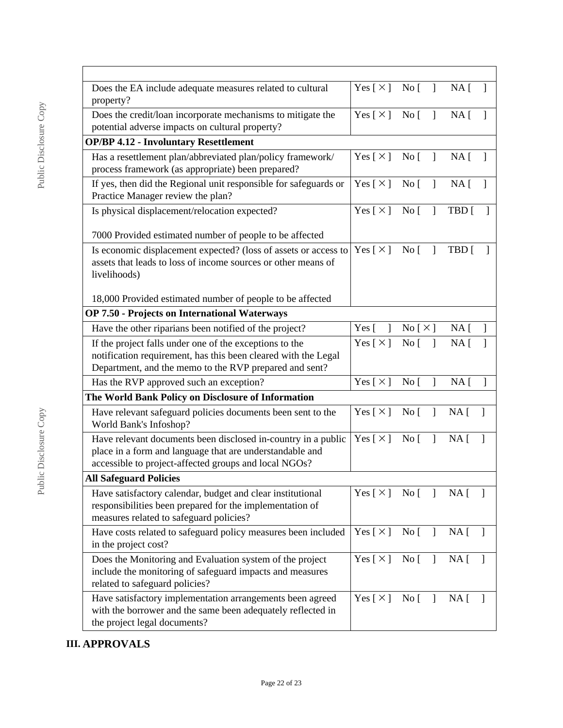| Does the EA include adequate measures related to cultural<br>property?                                                                                                              | $Yes [ \times ] No [ ] NA [ ]$                  |                                 |              |                 |              |
|-------------------------------------------------------------------------------------------------------------------------------------------------------------------------------------|-------------------------------------------------|---------------------------------|--------------|-----------------|--------------|
| Does the credit/loan incorporate mechanisms to mitigate the<br>potential adverse impacts on cultural property?                                                                      | Yes $[\times]$ No $[\ ]$                        |                                 |              | NA [            | $\mathbf{1}$ |
| <b>OP/BP 4.12 - Involuntary Resettlement</b>                                                                                                                                        |                                                 |                                 |              |                 |              |
| Has a resettlement plan/abbreviated plan/policy framework/<br>process framework (as appropriate) been prepared?                                                                     | Yes [×] No [ ] NA [                             |                                 |              |                 | $\mathbf{1}$ |
| If yes, then did the Regional unit responsible for safeguards or<br>Practice Manager review the plan?                                                                               | Yes $\lceil \times \rceil$ No $\lceil$ $\rceil$ |                                 |              | $NA \lceil$     |              |
| Is physical displacement/relocation expected?                                                                                                                                       | $Yes [ \times ] No [ ]$                         |                                 |              | TBD [           |              |
| 7000 Provided estimated number of people to be affected                                                                                                                             |                                                 |                                 |              |                 |              |
| Is economic displacement expected? (loss of assets or access to<br>assets that leads to loss of income sources or other means of<br>livelihoods)                                    | $Yes [ \times ] No [ ]$                         |                                 |              | TBD [           |              |
| 18,000 Provided estimated number of people to be affected                                                                                                                           |                                                 |                                 |              |                 |              |
| OP 7.50 - Projects on International Waterways                                                                                                                                       |                                                 |                                 |              |                 |              |
| Have the other riparians been notified of the project?                                                                                                                              | Yes $\lceil$<br>$\mathbf{1}$                    | No [ X ] NA [                   |              |                 |              |
| If the project falls under one of the exceptions to the<br>notification requirement, has this been cleared with the Legal<br>Department, and the memo to the RVP prepared and sent? | Yes $\lceil \times \rceil$                      | No [                            |              | NA <sub>1</sub> |              |
| Has the RVP approved such an exception?                                                                                                                                             | Yes [ $\times$ ]                                | $\overline{N}$ o [              | $\mathbf{I}$ | NA <sub>1</sub> | 1            |
| The World Bank Policy on Disclosure of Information                                                                                                                                  |                                                 |                                 |              |                 |              |
| Have relevant safeguard policies documents been sent to the<br>World Bank's Infoshop?                                                                                               | Yes [ $\times$ ]                                | No [                            | $\mathbf{1}$ | $NA$ [          | 1            |
| Have relevant documents been disclosed in-country in a public<br>place in a form and language that are understandable and<br>accessible to project-affected groups and local NGOs?  | Yes $\lceil \times \rceil$                      | $\overline{N}$ o $\overline{[}$ | $\mathbf{I}$ | NA <sub>1</sub> | 1            |
| <b>All Safeguard Policies</b>                                                                                                                                                       |                                                 |                                 |              |                 |              |
| Have satisfactory calendar, budget and clear institutional<br>responsibilities been prepared for the implementation of<br>measures related to safeguard policies?                   | Yes [×] No [ ] NA]                              |                                 |              |                 |              |
| Have costs related to safeguard policy measures been included<br>in the project cost?                                                                                               | Yes $\lceil \times \rceil$                      | $\rm No~[$                      | $\mathbf{1}$ | NA [            | $\mathbf{1}$ |
| Does the Monitoring and Evaluation system of the project<br>include the monitoring of safeguard impacts and measures<br>related to safeguard policies?                              | Yes [ $\times$ ]                                | No [                            | $\mathbf{J}$ | NA [            | $\mathbf{I}$ |
| Have satisfactory implementation arrangements been agreed<br>with the borrower and the same been adequately reflected in<br>the project legal documents?                            | Yes $[\times]$                                  | No [                            |              | $NA \lceil$     | $\mathbf{1}$ |

## **III. APPROVALS**